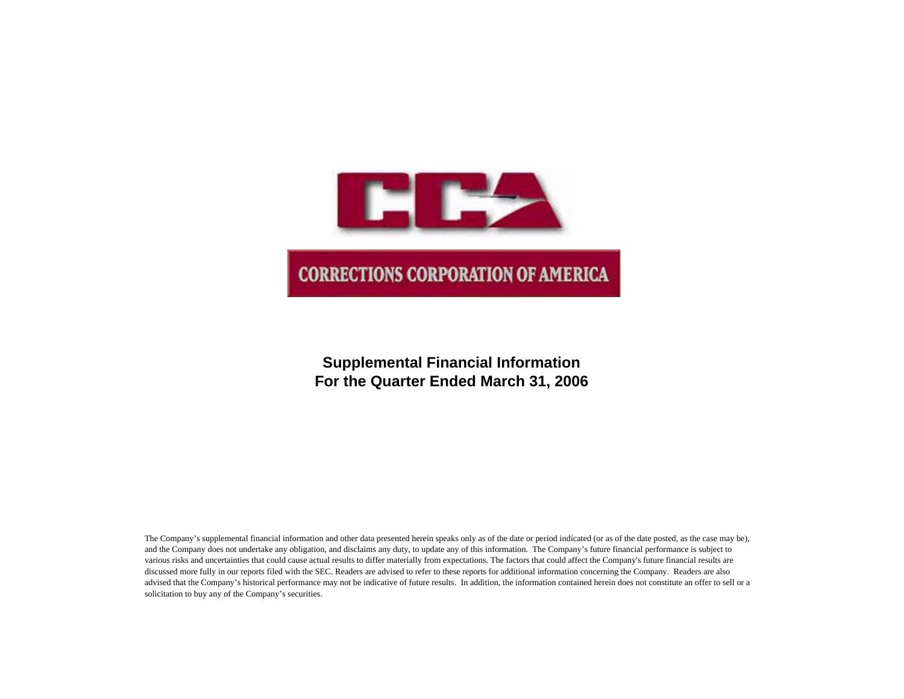

## **Supplemental Financial Information For the Quarter Ended March 31, 2006**

The Company's supplemental financial information and other data presented herein speaks only as of the date or period indicated (or as of the date posted, as the case may be), and the Company does not undertake any obligation, and disclaims any duty, to update any of this information. The Company's future financial performance is subject to various risks and uncertainties that could cause actual results to differ materially from expectations. The factors that could affect the Company's future financial results are discussed more fully in our reports filed with the SEC. Readers are advised to refer to these reports for additional information concerning the Company. Readers are also advised that the Company's historical performance may not be indicative of future results. In addition, the information contained herein does not constitute an offer to sell or a solicitation to buy any of the Company's securities.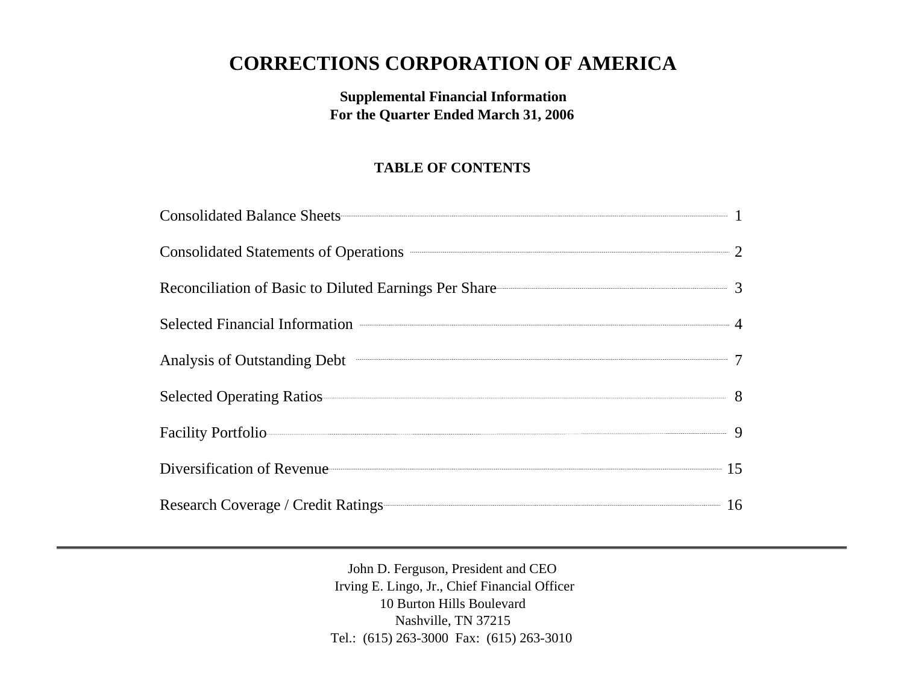# **CORRECTIONS CORPORATION OF AMERICA**

## **Supplemental Financial Information For the Quarter Ended March 31, 2006**

## **TABLE OF CONTENTS**

| Consolidated Balance Sheets 1                           |  |
|---------------------------------------------------------|--|
| Consolidated Statements of Operations <b>CONSUMER 2</b> |  |
| Reconciliation of Basic to Diluted Earnings Per Share 3 |  |
| Selected Financial Information 24                       |  |
| Analysis of Outstanding Debt 7                          |  |
| Selected Operating Ratios 8                             |  |
| Facility Portfolio 9                                    |  |
| Diversification of Revenue 15                           |  |
| Research Coverage / Credit Ratings 16                   |  |

John D. Ferguson, President and CEO Irving E. Lingo, Jr., Chief Financial Officer 10 Burton Hills Boulevard Nashville, TN 37215 Tel.: (615) 263-3000 Fax: (615) 263-3010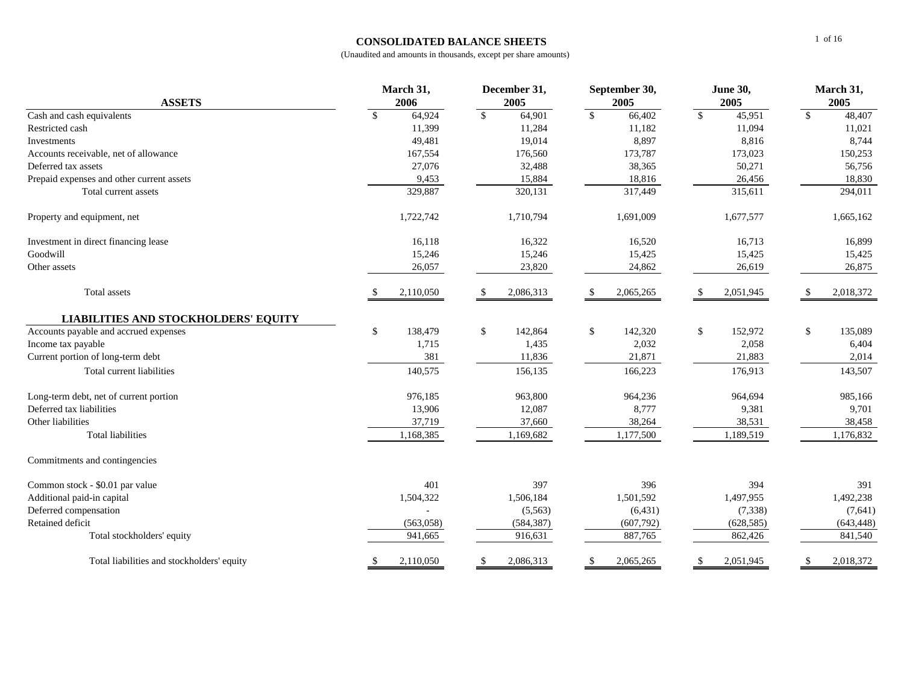### **CONSOLIDATED BALANCE SHEETS**

| <b>ASSETS</b>                               | March 31,<br>2006         | December 31,<br>2005      | September 30,<br>2005 | <b>June 30,</b><br>2005 | March 31,<br>2005          |  |
|---------------------------------------------|---------------------------|---------------------------|-----------------------|-------------------------|----------------------------|--|
|                                             | $\mathbb{S}$              | $\mathbb{S}$              | $\mathbf{\hat{S}}$    | $\mathbb{S}$            | $\mathbb{S}$               |  |
| Cash and cash equivalents                   | 64,924<br>11,399          | 64,901                    | 66,402<br>11,182      | 45,951                  | 48,407                     |  |
| Restricted cash<br>Investments              |                           | 11,284                    | 8,897                 | 11,094<br>8,816         | 11,021<br>8,744            |  |
|                                             | 49,481                    | 19,014                    |                       |                         |                            |  |
| Accounts receivable, net of allowance       | 167,554                   | 176,560                   | 173,787               | 173,023                 | 150,253                    |  |
| Deferred tax assets                         | 27,076                    | 32,488                    | 38,365                | 50,271                  | 56,756                     |  |
| Prepaid expenses and other current assets   | 9,453                     | 15,884                    | 18,816                | 26,456                  | 18,830                     |  |
| Total current assets                        | 329,887                   | 320,131                   | 317,449               | 315,611                 | 294,011                    |  |
| Property and equipment, net                 | 1,722,742                 | 1,710,794                 | 1,691,009             | 1,677,577               | 1,665,162                  |  |
| Investment in direct financing lease        | 16,118                    | 16,322                    | 16,520                | 16,713                  | 16,899                     |  |
| Goodwill                                    | 15,246                    | 15,246                    | 15,425                | 15,425                  | 15,425                     |  |
| Other assets                                | 26,057                    | 23,820                    | 24,862                | 26,619                  | 26,875                     |  |
| Total assets                                | 2,110,050                 | 2,086,313                 | 2,065,265             | 2,051,945<br>\$.        | 2,018,372                  |  |
| <b>LIABILITIES AND STOCKHOLDERS' EQUITY</b> |                           |                           |                       |                         |                            |  |
| Accounts payable and accrued expenses       | $\mathbb{S}$<br>138,479   | \$<br>142,864             | \$<br>142,320         | \$<br>152,972           | \$<br>135,089              |  |
| Income tax payable                          | 1,715                     | 1,435                     | 2,032                 | 2,058                   | 6,404                      |  |
| Current portion of long-term debt           | 381                       | 11,836                    | 21,871                | 21,883                  | 2,014                      |  |
| Total current liabilities                   | 140,575                   | 156,135                   | 166,223               | 176,913                 | 143,507                    |  |
| Long-term debt, net of current portion      | 976,185                   | 963,800                   | 964,236               | 964,694                 | 985,166                    |  |
| Deferred tax liabilities                    | 13,906                    | 12,087                    | 8,777                 | 9,381                   | 9,701                      |  |
| Other liabilities                           | 37,719                    | 37,660                    | 38,264                | 38,531                  | 38,458                     |  |
| <b>Total liabilities</b>                    | 1,168,385                 | 1,169,682                 | 1,177,500             | 1,189,519               | 1,176,832                  |  |
| Commitments and contingencies               |                           |                           |                       |                         |                            |  |
| Common stock - \$0.01 par value             | 401                       | 397                       | 396                   | 394                     | 391                        |  |
| Additional paid-in capital                  | 1,504,322                 | 1,506,184                 | 1,501,592             | 1,497,955               | 1,492,238                  |  |
| Deferred compensation                       |                           | (5,563)                   | (6, 431)              | (7, 338)                | (7,641)                    |  |
| Retained deficit                            | (563,058)                 | (584, 387)                | (607,792)             | (628, 585)              | (643, 448)                 |  |
| Total stockholders' equity                  | 941,665                   | 916,631                   | 887,765               | 862,426                 | 841,540                    |  |
| Total liabilities and stockholders' equity  | 2,110,050<br><sup>S</sup> | $\mathbb{S}$<br>2,086,313 | 2,065,265<br>\$       | 2,051,945<br>\$         | 2,018,372<br>$\mathbf{\$}$ |  |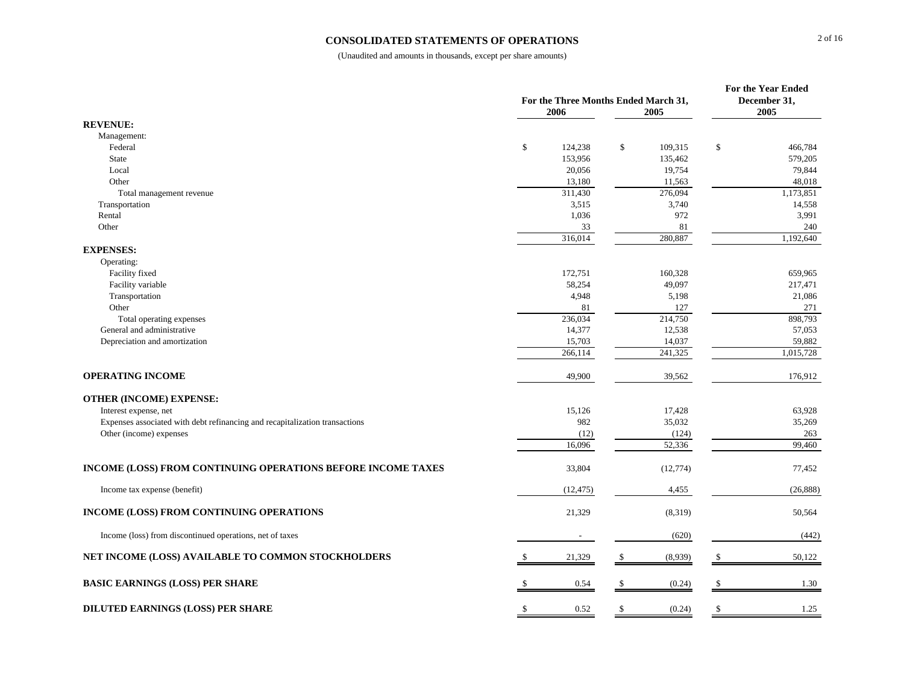#### **CONSOLIDATED STATEMENTS OF OPERATIONS**

|                                                                             |                                      |              |                  | For the Year Ended |                 |  |
|-----------------------------------------------------------------------------|--------------------------------------|--------------|------------------|--------------------|-----------------|--|
|                                                                             | For the Three Months Ended March 31, |              |                  |                    | December 31,    |  |
|                                                                             | 2006                                 |              | 2005             |                    | 2005            |  |
| <b>REVENUE:</b>                                                             |                                      |              |                  |                    |                 |  |
| Management:                                                                 |                                      |              |                  |                    |                 |  |
| Federal                                                                     | $\mathbb{S}$<br>124,238              | \$           | 109,315          | \$                 | 466,784         |  |
| State                                                                       | 153,956                              |              | 135,462          |                    | 579,205         |  |
| Local                                                                       | 20,056                               |              | 19,754           |                    | 79,844          |  |
| Other                                                                       | 13,180                               |              | 11,563           |                    | 48,018          |  |
| Total management revenue                                                    | 311,430<br>3,515                     |              | 276,094<br>3,740 |                    | 1,173,851       |  |
| Transportation                                                              | 1,036                                |              | 972              |                    | 14,558<br>3,991 |  |
| Rental<br>Other                                                             | 33                                   |              | 81               |                    | 240             |  |
|                                                                             | 316,014                              |              | 280,887          |                    | 1,192,640       |  |
| <b>EXPENSES:</b>                                                            |                                      |              |                  |                    |                 |  |
| Operating:                                                                  |                                      |              |                  |                    |                 |  |
| Facility fixed                                                              | 172,751                              |              | 160,328          |                    | 659,965         |  |
| Facility variable                                                           | 58,254                               |              | 49,097           |                    | 217,471         |  |
| Transportation                                                              | 4.948                                |              | 5,198            |                    | 21,086          |  |
| Other                                                                       | 81                                   |              | 127              |                    | 271             |  |
| Total operating expenses                                                    | 236,034                              |              | 214,750          |                    | 898,793         |  |
| General and administrative                                                  | 14,377                               |              | 12,538           |                    | 57,053          |  |
| Depreciation and amortization                                               | 15,703                               |              | 14,037           |                    | 59,882          |  |
|                                                                             | 266,114                              |              | 241,325          |                    | 1,015,728       |  |
|                                                                             |                                      |              |                  |                    |                 |  |
| <b>OPERATING INCOME</b>                                                     | 49,900                               |              | 39,562           |                    | 176,912         |  |
|                                                                             |                                      |              |                  |                    |                 |  |
| <b>OTHER (INCOME) EXPENSE:</b>                                              |                                      |              |                  |                    |                 |  |
| Interest expense, net                                                       | 15,126                               |              | 17,428           |                    | 63,928          |  |
| Expenses associated with debt refinancing and recapitalization transactions | 982                                  |              | 35,032           |                    | 35,269          |  |
| Other (income) expenses                                                     | (12)                                 |              | (124)            |                    | 263             |  |
|                                                                             | 16,096                               |              | 52,336           |                    | 99,460          |  |
|                                                                             |                                      |              |                  |                    |                 |  |
| INCOME (LOSS) FROM CONTINUING OPERATIONS BEFORE INCOME TAXES                | 33,804                               |              | (12, 774)        |                    | 77,452          |  |
|                                                                             |                                      |              |                  |                    |                 |  |
| Income tax expense (benefit)                                                | (12, 475)                            |              | 4,455            |                    | (26, 888)       |  |
|                                                                             |                                      |              |                  |                    |                 |  |
| INCOME (LOSS) FROM CONTINUING OPERATIONS                                    | 21,329                               |              | (8,319)          |                    | 50,564          |  |
| Income (loss) from discontinued operations, net of taxes                    |                                      |              | (620)            |                    | (442)           |  |
|                                                                             |                                      |              |                  |                    |                 |  |
| NET INCOME (LOSS) AVAILABLE TO COMMON STOCKHOLDERS                          | 21,329<br>£.                         | $\mathbb{S}$ | (8,939)          | -S                 | 50,122          |  |
|                                                                             |                                      |              |                  |                    |                 |  |
| <b>BASIC EARNINGS (LOSS) PER SHARE</b>                                      | 0.54                                 | -S           | (0.24)           | -S                 | 1.30            |  |
| DILUTED EARNINGS (LOSS) PER SHARE                                           | 0.52                                 | \$           | (0.24)           |                    | 1.25            |  |
|                                                                             |                                      |              |                  |                    |                 |  |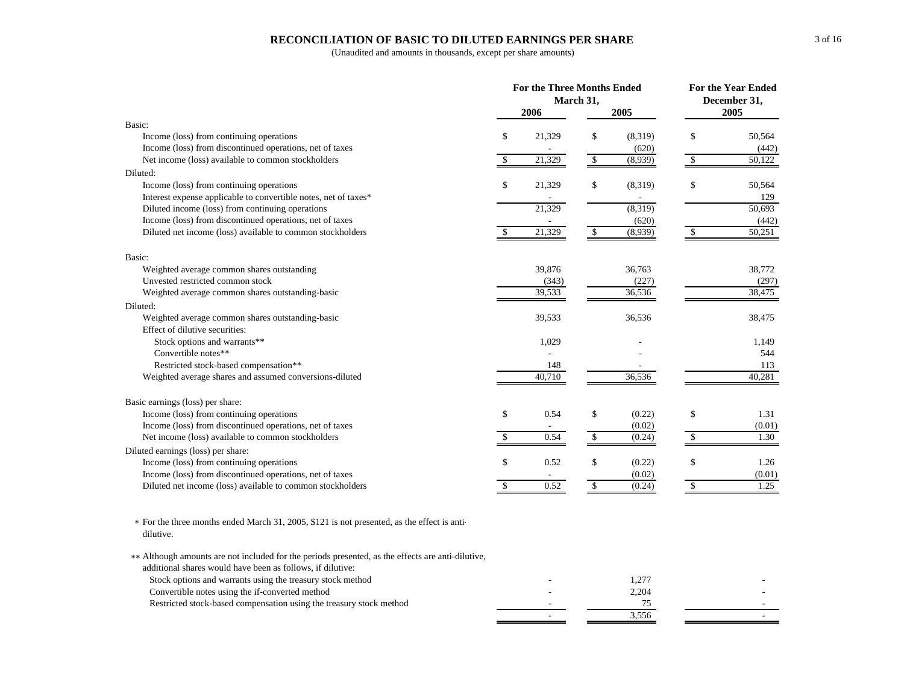#### **RECONCILIATION OF BASIC TO DILUTED EARNINGS PER SHARE**

(Unaudited and amounts in thousands, except per share amounts)

|                                                                                                          |               | For the Three Months Ended<br>March 31, | <b>For the Year Ended</b><br>December 31, |         |              |                     |
|----------------------------------------------------------------------------------------------------------|---------------|-----------------------------------------|-------------------------------------------|---------|--------------|---------------------|
|                                                                                                          |               | 2006                                    |                                           | 2005    |              | 2005                |
| Basic:                                                                                                   |               |                                         |                                           |         |              |                     |
| Income (loss) from continuing operations                                                                 | \$            | 21,329                                  | \$                                        | (8,319) | \$           | 50,564              |
| Income (loss) from discontinued operations, net of taxes                                                 |               |                                         |                                           | (620)   |              | (442)               |
| Net income (loss) available to common stockholders                                                       | \$            | 21,329                                  | \$                                        | (8,939) | \$           | $\overline{50,122}$ |
| Diluted:                                                                                                 |               |                                         |                                           |         |              |                     |
| Income (loss) from continuing operations                                                                 | \$            | 21,329                                  | \$                                        | (8,319) | \$           | 50,564              |
| Interest expense applicable to convertible notes, net of taxes*                                          |               |                                         |                                           |         |              | 129                 |
| Diluted income (loss) from continuing operations                                                         |               | 21,329                                  |                                           | (8,319) |              | 50,693              |
| Income (loss) from discontinued operations, net of taxes                                                 |               |                                         |                                           | (620)   |              | (442)               |
| Diluted net income (loss) available to common stockholders                                               | $\mathcal{S}$ | 21,329                                  | $\sqrt[6]{\frac{1}{2}}$                   | (8,939) | $\mathbb{S}$ | 50,251              |
| Basic:                                                                                                   |               |                                         |                                           |         |              |                     |
| Weighted average common shares outstanding                                                               |               | 39,876                                  |                                           | 36,763  |              | 38,772              |
| Unvested restricted common stock                                                                         |               | (343)                                   |                                           | (227)   |              | (297)               |
| Weighted average common shares outstanding-basic                                                         |               | 39,533                                  |                                           | 36,536  |              | 38,475              |
| Diluted:                                                                                                 |               |                                         |                                           |         |              |                     |
| Weighted average common shares outstanding-basic                                                         |               | 39,533                                  |                                           | 36,536  |              | 38,475              |
| Effect of dilutive securities:                                                                           |               |                                         |                                           |         |              |                     |
| Stock options and warrants**                                                                             |               | 1,029                                   |                                           |         |              | 1,149               |
| Convertible notes**                                                                                      |               |                                         |                                           |         |              | 544                 |
| Restricted stock-based compensation**                                                                    |               | 148                                     |                                           |         |              | 113                 |
| Weighted average shares and assumed conversions-diluted                                                  |               | 40,710                                  |                                           | 36,536  |              | 40,281              |
| Basic earnings (loss) per share:                                                                         |               |                                         |                                           |         |              |                     |
| Income (loss) from continuing operations                                                                 | \$            | 0.54                                    | \$                                        | (0.22)  | \$           | 1.31                |
| Income (loss) from discontinued operations, net of taxes                                                 |               |                                         |                                           | (0.02)  |              | (0.01)              |
| Net income (loss) available to common stockholders                                                       | \$            | 0.54                                    | \$                                        | (0.24)  | \$           | 1.30                |
| Diluted earnings (loss) per share:                                                                       |               |                                         |                                           |         |              |                     |
| Income (loss) from continuing operations                                                                 | \$            | 0.52                                    | \$                                        | (0.22)  | \$           | 1.26                |
| Income (loss) from discontinued operations, net of taxes                                                 |               |                                         |                                           | (0.02)  |              | (0.01)              |
| Diluted net income (loss) available to common stockholders                                               | \$            | 0.52                                    | $\mathbb{S}$                              | (0.24)  | $\mathbb{S}$ | 1.25                |
| * For the three months ended March 31, 2005, \$121 is not presented, as the effect is anti-<br>dilutive. |               |                                         |                                           |         |              |                     |
| ** Although amounts are not included for the periods presented, as the effects are anti-dilutive,        |               |                                         |                                           |         |              |                     |
| additional shares would have been as follows, if dilutive:                                               |               |                                         |                                           |         |              |                     |
| Stock options and warrants using the treasury stock method                                               |               |                                         |                                           | 1.277   |              |                     |

Stock options and warrants using the treasury stock method and the stock method of the stock method of the stock method of the stock method of the stock method of the stock method of the stock method of the stock method of Convertible notes using the if-converted method 2,204 Restricted stock-based compensation using the treasury stock method <sup>-</sup> 75  $\frac{3}{556}$  -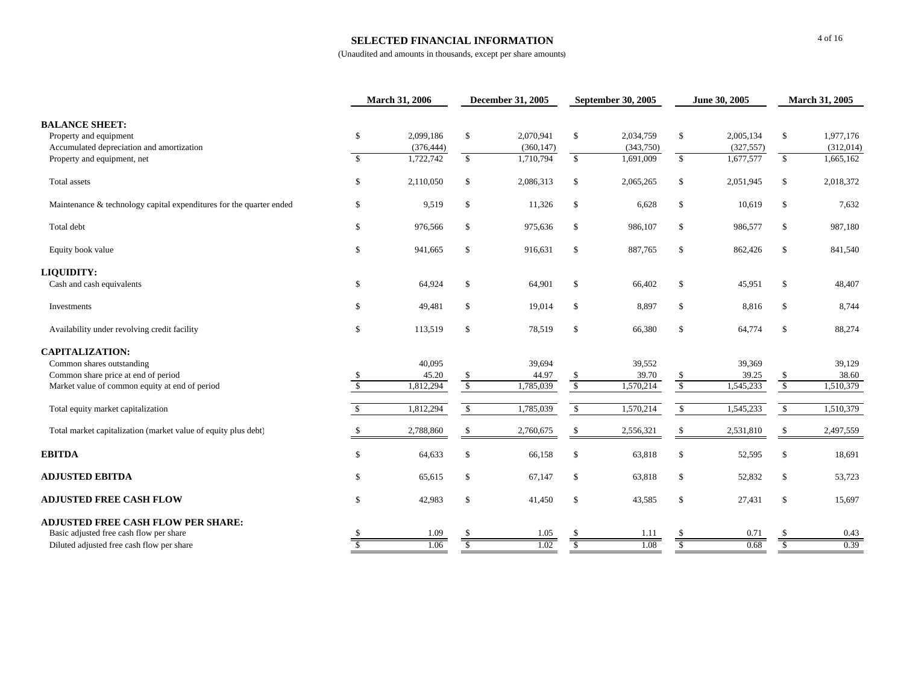#### **SELECTED FINANCIAL INFORMATION**

|                                                                     |                         | March 31, 2006 | <b>December 31, 2005</b> |            | <b>September 30, 2005</b> |           | June 30, 2005           |            | March 31, 2005  |           |
|---------------------------------------------------------------------|-------------------------|----------------|--------------------------|------------|---------------------------|-----------|-------------------------|------------|-----------------|-----------|
| <b>BALANCE SHEET:</b>                                               |                         |                |                          |            |                           |           |                         |            |                 |           |
| Property and equipment                                              | $\mathbb{S}$            | 2,099,186      | <sup>\$</sup>            | 2,070,941  | $\mathbf S$               | 2,034,759 | $\mathbb{S}$            | 2,005,134  | \$              | 1,977,176 |
| Accumulated depreciation and amortization                           |                         | (376, 444)     |                          | (360, 147) |                           | (343,750) |                         | (327, 557) |                 | (312,014) |
| Property and equipment, net                                         | $\overline{\mathbf{s}}$ | 1,722,742      | $\mathcal{S}$            | 1,710,794  | $\overline{\mathbb{S}}$   | 1,691,009 | $\sqrt{\frac{2}{5}}$    | 1,677,577  | $\sqrt{2}$      | 1,665,162 |
| Total assets                                                        | \$                      | 2,110,050      | S                        | 2,086,313  | \$                        | 2,065,265 | \$                      | 2,051,945  | \$              | 2,018,372 |
| Maintenance & technology capital expenditures for the quarter ended | \$                      | 9,519          | \$                       | 11,326     | \$                        | 6,628     | $\mathbb{S}$            | 10,619     | \$              | 7,632     |
| Total debt                                                          | \$                      | 976,566        | \$                       | 975,636    | \$                        | 986,107   | \$                      | 986,577    | \$              | 987,180   |
| Equity book value                                                   | \$                      | 941,665        | \$                       | 916,631    | \$                        | 887,765   | $\mathcal{S}$           | 862,426    | \$              | 841,540   |
| LIQUIDITY:                                                          |                         |                |                          |            |                           |           |                         |            |                 |           |
| Cash and cash equivalents                                           | $\mathbb{S}$            | 64,924         | S                        | 64,901     | \$                        | 66,402    | \$                      | 45,951     | \$              | 48,407    |
| Investments                                                         | $\mathbb{S}$            | 49,481         | \$                       | 19,014     | $\mathbf S$               | 8,897     | $\mathbb{S}$            | 8,816      | $\mathbb S$     | 8,744     |
| Availability under revolving credit facility                        | \$                      | 113,519        | \$                       | 78,519     | \$                        | 66,380    | $\mathbb{S}$            | 64,774     | \$              | 88,274    |
| <b>CAPITALIZATION:</b>                                              |                         |                |                          |            |                           |           |                         |            |                 |           |
| Common shares outstanding                                           |                         | 40,095         |                          | 39,694     |                           | 39,552    |                         | 39,369     |                 | 39,129    |
| Common share price at end of period                                 |                         | 45.20          |                          | 44.97      | -S                        | 39.70     | <sup>\$</sup>           | 39.25      | $\frac{\$}{\$}$ | 38.60     |
| Market value of common equity at end of period                      | $\mathcal{S}$           | 1,812,294      | $\overline{\mathcal{S}}$ | 1,785,039  | $\sqrt{\frac{2}{5}}$      | 1,570,214 | $\overline{\mathbf{s}}$ | 1,545,233  |                 | 1,510,379 |
| Total equity market capitalization                                  |                         | 1,812,294      | $\mathbb{S}$             | 1,785,039  | $\mathbb{S}$              | 1,570,214 | $\mathsf{\$}$           | 1,545,233  | $\mathcal{S}$   | 1,510,379 |
| Total market capitalization (market value of equity plus debt)      |                         | 2,788,860      | \$.                      | 2,760,675  | <sup>\$</sup>             | 2,556,321 | \$                      | 2,531,810  | \$              | 2,497,559 |
| <b>EBITDA</b>                                                       | \$                      | 64,633         | \$.                      | 66,158     | \$                        | 63,818    | \$                      | 52,595     | \$              | 18,691    |
| <b>ADJUSTED EBITDA</b>                                              | \$                      | 65,615         | \$                       | 67,147     | $\mathbf S$               | 63,818    | $\mathbb{S}$            | 52,832     | \$              | 53,723    |
| <b>ADJUSTED FREE CASH FLOW</b>                                      | $\mathbb{S}$            | 42,983         | \$                       | 41,450     | $\mathbb S$               | 43,585    | $\mathcal{S}$           | 27,431     | $\mathbb S$     | 15,697    |
| <b>ADJUSTED FREE CASH FLOW PER SHARE:</b>                           |                         |                |                          |            |                           |           |                         |            |                 |           |
| Basic adjusted free cash flow per share                             |                         | 1.09           |                          | 1.05       |                           | 1.11      |                         | 0.71       |                 | 0.43      |
| Diluted adjusted free cash flow per share                           |                         | 1.06           | \$.                      | 1.02       | -S                        | 1.08      | S                       | 0.68       | S               | 0.39      |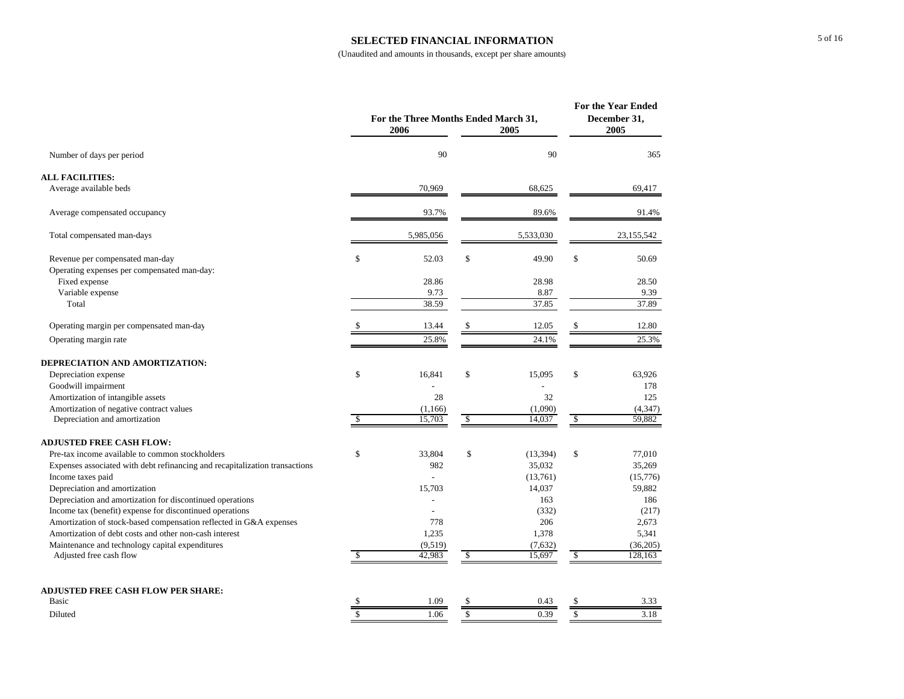#### **SELECTED FINANCIAL INFORMATION**

|                                                                             |                    | For the Three Months Ended March 31,<br>2006<br>2005 |               |           |               | For the Year Ended<br>December 31,<br>2005 |  |  |
|-----------------------------------------------------------------------------|--------------------|------------------------------------------------------|---------------|-----------|---------------|--------------------------------------------|--|--|
| Number of days per period                                                   |                    | 90                                                   |               | 90        |               | 365                                        |  |  |
| <b>ALL FACILITIES:</b>                                                      |                    |                                                      |               |           |               |                                            |  |  |
| Average available beds                                                      |                    | 70,969                                               |               | 68,625    |               | 69,417                                     |  |  |
| Average compensated occupancy                                               |                    | 93.7%                                                |               | 89.6%     |               | 91.4%                                      |  |  |
| Total compensated man-days                                                  |                    | 5,985,056                                            |               | 5,533,030 |               | 23,155,542                                 |  |  |
| Revenue per compensated man-day                                             | \$                 | 52.03                                                | $\mathbb{S}$  | 49.90     | \$            | 50.69                                      |  |  |
| Operating expenses per compensated man-day:                                 |                    |                                                      |               |           |               |                                            |  |  |
| Fixed expense                                                               |                    | 28.86                                                |               | 28.98     |               | 28.50                                      |  |  |
| Variable expense                                                            |                    | 9.73                                                 |               | 8.87      |               | 9.39                                       |  |  |
| Total                                                                       |                    | 38.59                                                |               | 37.85     |               | 37.89                                      |  |  |
| Operating margin per compensated man-day                                    |                    | 13.44                                                |               | 12.05     |               | 12.80                                      |  |  |
| Operating margin rate                                                       |                    | 25.8%                                                |               | 24.1%     |               | 25.3%                                      |  |  |
| DEPRECIATION AND AMORTIZATION:                                              |                    |                                                      |               |           |               |                                            |  |  |
| Depreciation expense                                                        | \$                 | 16,841                                               | \$            | 15,095    | \$            | 63,926                                     |  |  |
| Goodwill impairment                                                         |                    |                                                      |               |           |               | 178                                        |  |  |
| Amortization of intangible assets                                           |                    | 28                                                   |               | 32        |               | 125                                        |  |  |
| Amortization of negative contract values                                    |                    | (1,166)                                              |               | (1,090)   |               | (4, 347)                                   |  |  |
| Depreciation and amortization                                               | S                  | 15,703                                               | \$            | 14,037    | <sup>\$</sup> | 59,882                                     |  |  |
| <b>ADJUSTED FREE CASH FLOW:</b>                                             |                    |                                                      |               |           |               |                                            |  |  |
| Pre-tax income available to common stockholders                             | \$                 | 33,804                                               | \$            | (13, 394) | \$            | 77,010                                     |  |  |
| Expenses associated with debt refinancing and recapitalization transactions |                    | 982                                                  |               | 35,032    |               | 35,269                                     |  |  |
| Income taxes paid                                                           |                    |                                                      |               | (13,761)  |               | (15,776)                                   |  |  |
| Depreciation and amortization                                               |                    | 15,703                                               |               | 14,037    |               | 59,882                                     |  |  |
| Depreciation and amortization for discontinued operations                   |                    |                                                      |               | 163       |               | 186                                        |  |  |
| Income tax (benefit) expense for discontinued operations                    |                    | $\overline{a}$                                       |               | (332)     |               | (217)                                      |  |  |
| Amortization of stock-based compensation reflected in G&A expenses          |                    | 778                                                  |               | 206       |               | 2,673                                      |  |  |
| Amortization of debt costs and other non-cash interest                      |                    | 1,235                                                |               | 1,378     |               | 5,341                                      |  |  |
| Maintenance and technology capital expenditures                             |                    | (9,519)                                              |               | (7,632)   |               | (36,205)                                   |  |  |
| Adjusted free cash flow                                                     | \$                 | 42,983                                               | $\sqrt{2}$    | 15,697    | $\sqrt{2}$    | 128,163                                    |  |  |
| <b>ADJUSTED FREE CASH FLOW PER SHARE:</b>                                   |                    |                                                      |               |           |               |                                            |  |  |
| Basic                                                                       | \$                 | 1.09                                                 | \$            | 0.43      | \$            | 3.33                                       |  |  |
| Diluted                                                                     | $\mathbf{\hat{S}}$ | 1.06                                                 | $\mathcal{S}$ | 0.39      | \$            | 3.18                                       |  |  |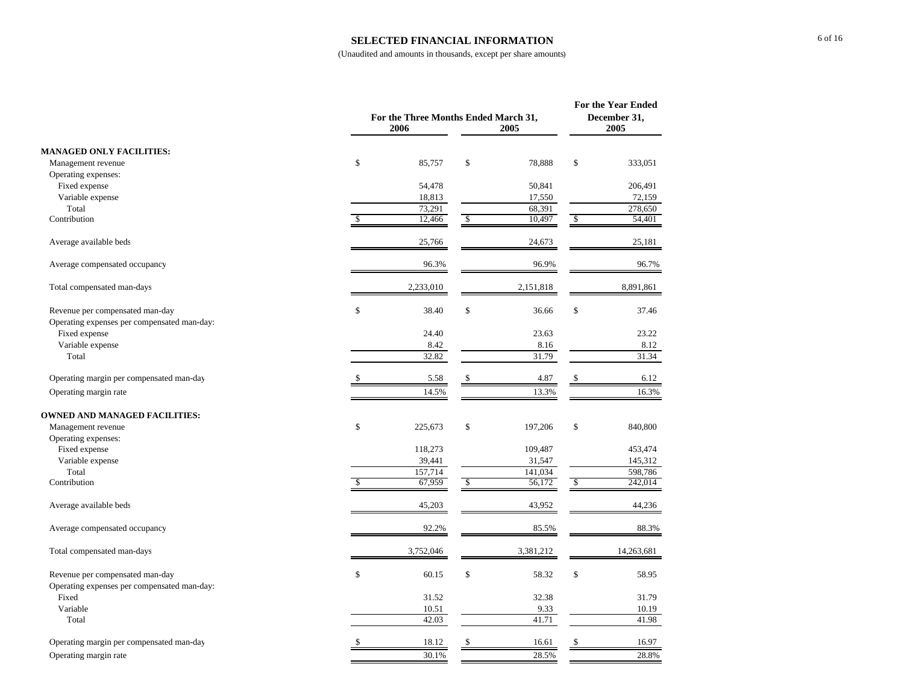#### **SELECTED FINANCIAL INFORMATION**

|                                                                                |              | For the Three Months Ended March 31,<br>2006<br>2005 |              |           |    |            |  |
|--------------------------------------------------------------------------------|--------------|------------------------------------------------------|--------------|-----------|----|------------|--|
| <b>MANAGED ONLY FACILITIES:</b>                                                |              |                                                      |              |           |    |            |  |
| Management revenue                                                             | \$           | 85,757                                               | \$           | 78,888    | \$ | 333,051    |  |
| Operating expenses:                                                            |              |                                                      |              |           |    |            |  |
| Fixed expense                                                                  |              | 54,478                                               |              | 50,841    |    | 206,491    |  |
| Variable expense                                                               |              | 18,813                                               |              | 17,550    |    | 72,159     |  |
| Total                                                                          |              | 73,291                                               |              | 68,391    |    | 278,650    |  |
| Contribution                                                                   | $\mathbb{S}$ | 12,466                                               | $\mathbb{S}$ | 10,497    | \$ | 54,401     |  |
| Average available beds                                                         |              | 25,766                                               |              | 24,673    |    | 25,181     |  |
| Average compensated occupancy                                                  |              | 96.3%                                                |              | 96.9%     |    | 96.7%      |  |
| Total compensated man-days                                                     |              | 2,233,010                                            |              | 2,151,818 |    | 8,891,861  |  |
| Revenue per compensated man-day<br>Operating expenses per compensated man-day: | \$           | 38.40                                                | \$           | 36.66     | \$ | 37.46      |  |
| Fixed expense                                                                  |              | 24.40                                                |              | 23.63     |    | 23.22      |  |
| Variable expense                                                               |              | 8.42                                                 |              | 8.16      |    | 8.12       |  |
| Total                                                                          |              | 32.82                                                |              | 31.79     |    | 31.34      |  |
| Operating margin per compensated man-day                                       |              | 5.58                                                 | \$           | 4.87      |    | 6.12       |  |
| Operating margin rate                                                          |              | 14.5%                                                |              | 13.3%     |    | 16.3%      |  |
| <b>OWNED AND MANAGED FACILITIES:</b>                                           |              |                                                      |              |           |    |            |  |
| Management revenue                                                             | \$           | 225,673                                              | \$           | 197,206   | \$ | 840,800    |  |
| Operating expenses:                                                            |              |                                                      |              |           |    |            |  |
| Fixed expense                                                                  |              | 118,273                                              |              | 109,487   |    | 453,474    |  |
| Variable expense                                                               |              | 39,441                                               |              | 31,547    |    | 145,312    |  |
| Total                                                                          |              | 157,714                                              |              | 141,034   |    | 598,786    |  |
| Contribution                                                                   | \$.          | 67,959                                               | $\mathbb{S}$ | 56,172    | \$ | 242,014    |  |
| Average available beds                                                         |              | 45,203                                               |              | 43,952    |    | 44,236     |  |
| Average compensated occupancy                                                  |              | 92.2%                                                |              | 85.5%     |    | 88.3%      |  |
| Total compensated man-days                                                     |              | 3,752,046                                            |              | 3,381,212 |    | 14,263,681 |  |
| Revenue per compensated man-day                                                | $\mathbb{S}$ | 60.15                                                | \$           | 58.32     | \$ | 58.95      |  |
| Operating expenses per compensated man-day:                                    |              |                                                      |              |           |    |            |  |
| Fixed                                                                          |              | 31.52                                                |              | 32.38     |    | 31.79      |  |
| Variable                                                                       |              | 10.51                                                |              | 9.33      |    | 10.19      |  |
| Total                                                                          |              | 42.03                                                |              | 41.71     |    | 41.98      |  |
| Operating margin per compensated man-day                                       | \$           | 18.12                                                | \$           | 16.61     | \$ | 16.97      |  |
| Operating margin rate                                                          |              | 30.1%                                                |              | 28.5%     |    | 28.8%      |  |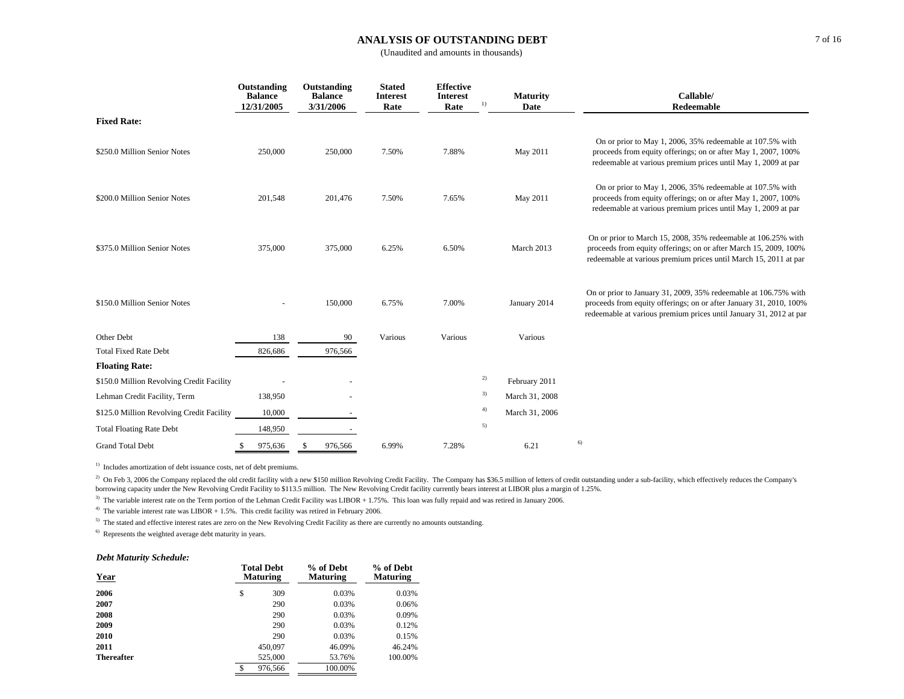#### **ANALYSIS OF OUTSTANDING DEBT**

(Unaudited and amounts in thousands)

|                                           | Outstanding<br><b>Balance</b><br>12/31/2005 | Outstanding<br><b>Balance</b><br>3/31/2006 | <b>Stated</b><br><b>Interest</b><br>Rate | <b>Effective</b><br><b>Interest</b><br>Rate | <b>Maturity</b><br>$_{1}$<br>Date | Callable/<br>Redeemable                                                                                                                                                                                     |
|-------------------------------------------|---------------------------------------------|--------------------------------------------|------------------------------------------|---------------------------------------------|-----------------------------------|-------------------------------------------------------------------------------------------------------------------------------------------------------------------------------------------------------------|
| <b>Fixed Rate:</b>                        |                                             |                                            |                                          |                                             |                                   |                                                                                                                                                                                                             |
| \$250.0 Million Senior Notes              | 250,000                                     | 250,000                                    | 7.50%                                    | 7.88%                                       | May 2011                          | On or prior to May 1, 2006, 35% redeemable at 107.5% with<br>proceeds from equity offerings; on or after May 1, 2007, 100%<br>redeemable at various premium prices until May 1, 2009 at par                 |
| \$200.0 Million Senior Notes              | 201,548                                     | 201,476                                    | 7.50%                                    | 7.65%                                       | May 2011                          | On or prior to May 1, 2006, 35% redeemable at 107.5% with<br>proceeds from equity offerings; on or after May 1, 2007, 100%<br>redeemable at various premium prices until May 1, 2009 at par                 |
| \$375.0 Million Senior Notes              | 375,000                                     | 375,000                                    | 6.25%                                    | 6.50%                                       | March 2013                        | On or prior to March 15, 2008, 35% redeemable at 106.25% with<br>proceeds from equity offerings; on or after March 15, 2009, 100%<br>redeemable at various premium prices until March 15, 2011 at par       |
| \$150.0 Million Senior Notes              |                                             | 150,000                                    | 6.75%                                    | 7.00%                                       | January 2014                      | On or prior to January 31, 2009, 35% redeemable at 106.75% with<br>proceeds from equity offerings; on or after January 31, 2010, 100%<br>redeemable at various premium prices until January 31, 2012 at par |
| Other Debt                                | 138                                         | 90                                         | Various                                  | Various                                     | Various                           |                                                                                                                                                                                                             |
| <b>Total Fixed Rate Debt</b>              | 826,686                                     | 976,566                                    |                                          |                                             |                                   |                                                                                                                                                                                                             |
| <b>Floating Rate:</b>                     |                                             |                                            |                                          |                                             |                                   |                                                                                                                                                                                                             |
| \$150.0 Million Revolving Credit Facility |                                             |                                            |                                          |                                             | 2)<br>February 2011               |                                                                                                                                                                                                             |
| Lehman Credit Facility, Term              | 138,950                                     |                                            |                                          |                                             | 3)<br>March 31, 2008              |                                                                                                                                                                                                             |
| \$125.0 Million Revolving Credit Facility | 10,000                                      |                                            |                                          |                                             | 4)<br>March 31, 2006              |                                                                                                                                                                                                             |
| <b>Total Floating Rate Debt</b>           | 148,950                                     |                                            |                                          |                                             | 5)                                |                                                                                                                                                                                                             |
| <b>Grand Total Debt</b>                   | 975,636                                     | 976,566                                    | 6.99%                                    | 7.28%                                       | 6.21                              | 6)                                                                                                                                                                                                          |

<sup>1)</sup> Includes amortization of debt issuance costs, net of debt premiums.

<sup>2)</sup> On Feb 3, 2006 the Company replaced the old credit facility with a new \$150 million Revolving Credit Facility. The Company has \$36.5 million of letters of credit outstanding under a sub-facility, which effectively red borrowing capacity under the New Revolving Credit Facility to \$113.5 million. The New Revolving Credit facility currently bears interest at LIBOR plus a margin of 1.25%.

<sup>3)</sup> The variable interest rate on the Term portion of the Lehman Credit Facility was LIBOR + 1.75%. This loan was fully repaid and was retired in January 2006.

<sup>4)</sup> The variable interest rate was LIBOR + 1.5%. This credit facility was retired in February 2006.

 $^{5)}$  The stated and effective interest rates are zero on the New Revolving Credit Facility as there are currently no amounts outstanding.

6) Represents the weighted average debt maturity in years.

#### *Debt Maturity Schedule:*

| Year              |     | <b>Total Debt</b><br><b>Maturing</b> | % of Debt<br><b>Maturing</b> | % of Debt<br><b>Maturing</b> |  |
|-------------------|-----|--------------------------------------|------------------------------|------------------------------|--|
| 2006              | \$  | 309                                  | 0.03%                        | 0.03%                        |  |
| 2007              |     | 290                                  | 0.03%                        | 0.06%                        |  |
| 2008              |     | 290                                  | 0.03%                        | 0.09%                        |  |
| 2009              |     | 290                                  | 0.03%                        | 0.12%                        |  |
| 2010              |     | 290                                  | 0.03%                        | 0.15%                        |  |
| 2011              |     | 450,097                              | 46.09%                       | 46.24%                       |  |
| <b>Thereafter</b> |     | 525,000                              | 53.76%                       | 100.00%                      |  |
|                   | \$. | 976,566                              | 100.00%                      |                              |  |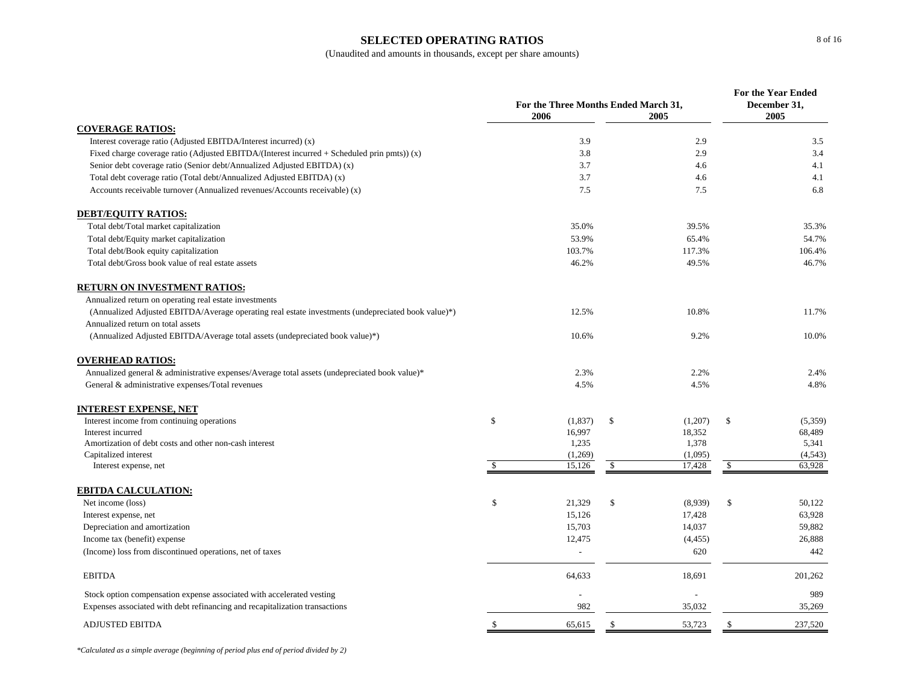### **SELECTED OPERATING RATIOS**

|                                                                                                    |    | For the Three Months Ended March 31,<br>2006 | <b>For the Year Ended</b><br>December 31,<br>2005 |                   |               |                   |
|----------------------------------------------------------------------------------------------------|----|----------------------------------------------|---------------------------------------------------|-------------------|---------------|-------------------|
| <b>COVERAGE RATIOS:</b>                                                                            |    |                                              |                                                   | 2005              |               |                   |
| Interest coverage ratio (Adjusted EBITDA/Interest incurred) (x)                                    |    | 3.9                                          |                                                   | 2.9               |               | 3.5               |
| Fixed charge coverage ratio (Adjusted EBITDA/(Interest incurred $+$ Scheduled prin pmts)) (x)      |    | 3.8                                          |                                                   | 2.9               |               | 3.4               |
| Senior debt coverage ratio (Senior debt/Annualized Adjusted EBITDA) (x)                            |    | 3.7                                          |                                                   | 4.6               |               | 4.1               |
| Total debt coverage ratio (Total debt/Annualized Adjusted EBITDA) (x)                              |    | 3.7                                          |                                                   | 4.6               |               | 4.1               |
| Accounts receivable turnover (Annualized revenues/Accounts receivable) (x)                         |    | 7.5                                          |                                                   | 7.5               |               | 6.8               |
| <b>DEBT/EQUITY RATIOS:</b>                                                                         |    |                                              |                                                   |                   |               |                   |
| Total debt/Total market capitalization                                                             |    | 35.0%                                        |                                                   | 39.5%             |               | 35.3%             |
| Total debt/Equity market capitalization                                                            |    | 53.9%                                        |                                                   | 65.4%             |               | 54.7%             |
| Total debt/Book equity capitalization                                                              |    | 103.7%                                       |                                                   | 117.3%            |               | 106.4%            |
| Total debt/Gross book value of real estate assets                                                  |    | 46.2%                                        |                                                   | 49.5%             |               | 46.7%             |
| <b>RETURN ON INVESTMENT RATIOS:</b>                                                                |    |                                              |                                                   |                   |               |                   |
| Annualized return on operating real estate investments                                             |    |                                              |                                                   |                   |               |                   |
| (Annualized Adjusted EBITDA/Average operating real estate investments (undepreciated book value)*) |    | 12.5%                                        |                                                   | 10.8%             |               | 11.7%             |
| Annualized return on total assets                                                                  |    |                                              |                                                   |                   |               |                   |
| (Annualized Adjusted EBITDA/Average total assets (undepreciated book value)*)                      |    | 10.6%                                        |                                                   | 9.2%              |               | 10.0%             |
| <b>OVERHEAD RATIOS:</b>                                                                            |    |                                              |                                                   |                   |               |                   |
| Annualized general $\&$ administrative expenses/Average total assets (undepreciated book value)*   |    | 2.3%                                         |                                                   | 2.2%              |               | 2.4%              |
| General & administrative expenses/Total revenues                                                   |    | 4.5%                                         |                                                   | 4.5%              |               | 4.8%              |
| INTEREST EXPENSE, NET                                                                              |    |                                              |                                                   |                   |               |                   |
| Interest income from continuing operations                                                         | \$ | (1,837)                                      | \$                                                | (1,207)           | $\mathcal{S}$ | (5,359)           |
| Interest incurred                                                                                  |    | 16,997                                       |                                                   | 18,352            |               | 68,489            |
| Amortization of debt costs and other non-cash interest                                             |    | 1,235                                        |                                                   | 1,378             |               | 5,341             |
| Capitalized interest<br>Interest expense, net                                                      | -S | (1,269)<br>15,126                            | $\mathcal{S}$                                     | (1,095)<br>17,428 | \$            | (4,543)<br>63,928 |
|                                                                                                    |    |                                              |                                                   |                   |               |                   |
| EBITDA CALCULATION:<br>Net income (loss)                                                           | \$ | 21,329                                       | \$                                                | (8,939)           | $\mathbb{S}$  | 50,122            |
| Interest expense, net                                                                              |    | 15,126                                       |                                                   | 17,428            |               | 63,928            |
| Depreciation and amortization                                                                      |    | 15,703                                       |                                                   | 14,037            |               | 59,882            |
| Income tax (benefit) expense                                                                       |    | 12,475                                       |                                                   | (4, 455)          |               | 26,888            |
| (Income) loss from discontinued operations, net of taxes                                           |    | $\mathbb{L}$                                 |                                                   | 620               |               | 442               |
|                                                                                                    |    |                                              |                                                   |                   |               |                   |
| <b>EBITDA</b>                                                                                      |    | 64,633                                       |                                                   | 18,691            |               | 201,262           |
| Stock option compensation expense associated with accelerated vesting                              |    |                                              |                                                   |                   |               | 989               |
| Expenses associated with debt refinancing and recapitalization transactions                        |    | 982                                          |                                                   | 35,032            |               | 35,269            |
| <b>ADJUSTED EBITDA</b>                                                                             | \$ | 65,615                                       | <sup>\$</sup>                                     | 53,723            | <sup>\$</sup> | 237,520           |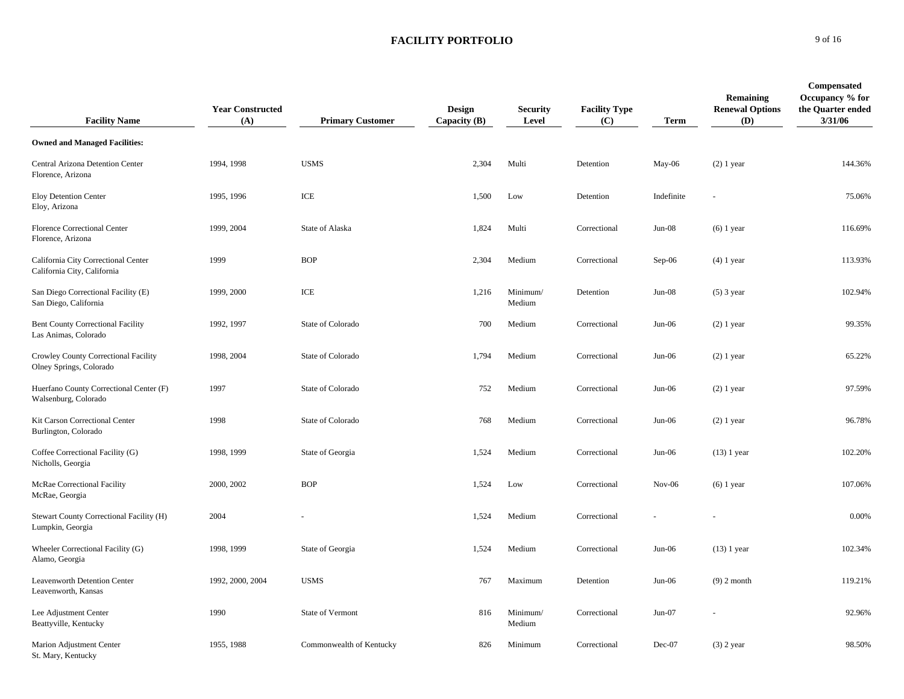| <b>Facility Name</b>                                               | <b>Year Constructed</b><br>(A) | <b>Primary Customer</b>  | <b>Design</b><br>Capacity (B) | <b>Security</b><br>Level | <b>Facility Type</b><br>(C) | <b>Term</b> | Remaining<br><b>Renewal Options</b><br><b>(D)</b> | <b>Compensated</b><br>Occupancy % for<br>the Quarter ended<br>3/31/06 |
|--------------------------------------------------------------------|--------------------------------|--------------------------|-------------------------------|--------------------------|-----------------------------|-------------|---------------------------------------------------|-----------------------------------------------------------------------|
| <b>Owned and Managed Facilities:</b>                               |                                |                          |                               |                          |                             |             |                                                   |                                                                       |
| Central Arizona Detention Center<br>Florence, Arizona              | 1994, 1998                     | <b>USMS</b>              | 2,304                         | Multi                    | Detention                   | May-06      | $(2)$ 1 year                                      | 144.36%                                                               |
| Eloy Detention Center<br>Eloy, Arizona                             | 1995, 1996                     | ICE                      | 1,500                         | Low                      | Detention                   | Indefinite  |                                                   | 75.06%                                                                |
| Florence Correctional Center<br>Florence, Arizona                  | 1999, 2004                     | State of Alaska          | 1,824                         | Multi                    | Correctional                | $Jun-08$    | $(6)$ 1 year                                      | 116.69%                                                               |
| California City Correctional Center<br>California City, California | 1999                           | <b>BOP</b>               | 2,304                         | Medium                   | Correctional                | $Sep-06$    | $(4)$ 1 year                                      | 113.93%                                                               |
| San Diego Correctional Facility (E)<br>San Diego, California       | 1999, 2000                     | ICE                      | 1,216                         | Minimum/<br>Medium       | Detention                   | $Jun-08$    | $(5)$ 3 year                                      | 102.94%                                                               |
| <b>Bent County Correctional Facility</b><br>Las Animas, Colorado   | 1992, 1997                     | State of Colorado        | 700                           | Medium                   | Correctional                | Jun-06      | $(2)$ 1 year                                      | 99.35%                                                                |
| Crowley County Correctional Facility<br>Olney Springs, Colorado    | 1998, 2004                     | State of Colorado        | 1,794                         | Medium                   | Correctional                | $Jun-06$    | $(2)$ 1 year                                      | 65.22%                                                                |
| Huerfano County Correctional Center (F)<br>Walsenburg, Colorado    | 1997                           | State of Colorado        | 752                           | Medium                   | Correctional                | Jun-06      | $(2)$ 1 year                                      | 97.59%                                                                |
| Kit Carson Correctional Center<br>Burlington, Colorado             | 1998                           | State of Colorado        | 768                           | Medium                   | Correctional                | $Jun-06$    | $(2)$ 1 year                                      | 96.78%                                                                |
| Coffee Correctional Facility (G)<br>Nicholls, Georgia              | 1998, 1999                     | State of Georgia         | 1,524                         | Medium                   | Correctional                | $Jun-06$    | $(13)$ 1 year                                     | 102.20%                                                               |
| McRae Correctional Facility<br>McRae, Georgia                      | 2000, 2002                     | <b>BOP</b>               | 1,524                         | Low                      | Correctional                | $Nov-06$    | $(6)$ 1 year                                      | 107.06%                                                               |
| Stewart County Correctional Facility (H)<br>Lumpkin, Georgia       | 2004                           |                          | 1,524                         | Medium                   | Correctional                |             |                                                   | 0.00%                                                                 |
| Wheeler Correctional Facility (G)<br>Alamo, Georgia                | 1998, 1999                     | State of Georgia         | 1,524                         | Medium                   | Correctional                | $Jun-06$    | $(13)$ 1 year                                     | 102.34%                                                               |
| Leavenworth Detention Center<br>Leavenworth, Kansas                | 1992, 2000, 2004               | <b>USMS</b>              | 767                           | Maximum                  | Detention                   | $Jun-06$    | $(9)$ 2 month                                     | 119.21%                                                               |
| Lee Adjustment Center<br>Beattyville, Kentucky                     | 1990                           | State of Vermont         | 816                           | Minimum/<br>Medium       | Correctional                | $Jun-07$    |                                                   | 92.96%                                                                |
| Marion Adjustment Center<br>St. Mary, Kentucky                     | 1955, 1988                     | Commonwealth of Kentucky | 826                           | Minimum                  | Correctional                | Dec-07      | $(3)$ 2 year                                      | 98.50%                                                                |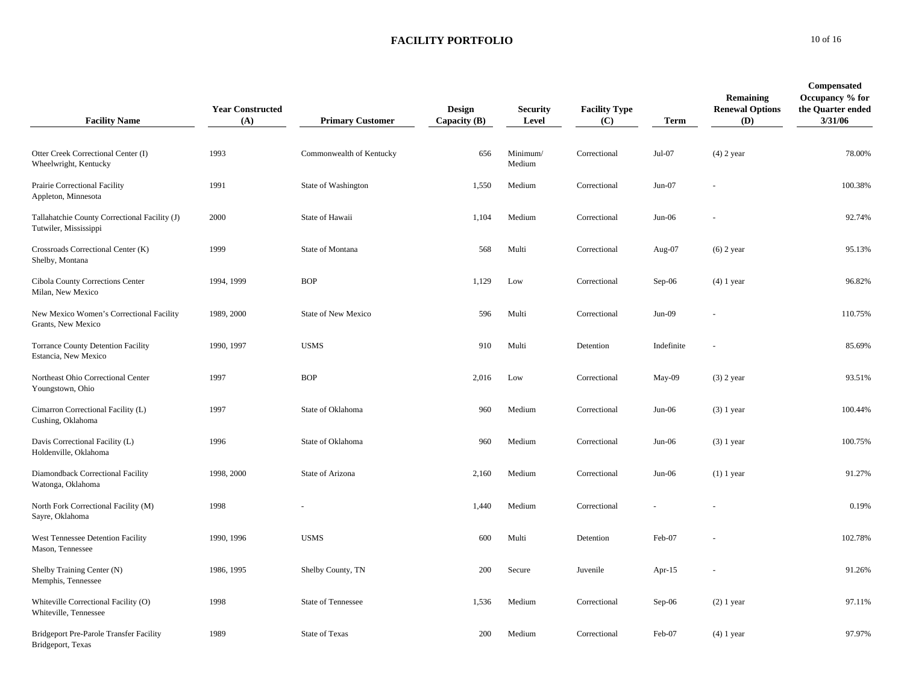**FACILITY PORTFOLIO0** 10 of 16

| <b>Facility Name</b>                                                   | <b>Year Constructed</b><br>(A) | <b>Primary Customer</b>    | Design<br>Capacity $(B)$ | <b>Security</b><br>Level | <b>Facility Type</b><br>(C) | Term       | Remaining<br><b>Renewal Options</b><br>(D) | Compensated<br>Occupancy % for<br>the Quarter ended<br>3/31/06 |
|------------------------------------------------------------------------|--------------------------------|----------------------------|--------------------------|--------------------------|-----------------------------|------------|--------------------------------------------|----------------------------------------------------------------|
| Otter Creek Correctional Center (I)<br>Wheelwright, Kentucky           | 1993                           | Commonwealth of Kentucky   | 656                      | Minimum/<br>Medium       | Correctional                | $Jul-07$   | $(4)$ 2 year                               | 78.00%                                                         |
| Prairie Correctional Facility<br>Appleton, Minnesota                   | 1991                           | State of Washington        | 1,550                    | Medium                   | Correctional                | $Jun-07$   |                                            | 100.38%                                                        |
| Tallahatchie County Correctional Facility (J)<br>Tutwiler, Mississippi | 2000                           | State of Hawaii            | 1,104                    | Medium                   | Correctional                | Jun-06     |                                            | 92.74%                                                         |
| Crossroads Correctional Center (K)<br>Shelby, Montana                  | 1999                           | State of Montana           | 568                      | Multi                    | Correctional                | Aug-07     | $(6)$ 2 year                               | 95.13%                                                         |
| Cibola County Corrections Center<br>Milan, New Mexico                  | 1994, 1999                     | <b>BOP</b>                 | 1,129                    | Low                      | Correctional                | $Sep-06$   | $(4)$ 1 year                               | 96.82%                                                         |
| New Mexico Women's Correctional Facility<br>Grants, New Mexico         | 1989, 2000                     | <b>State of New Mexico</b> | 596                      | Multi                    | Correctional                | $Jun-09$   |                                            | 110.75%                                                        |
| <b>Torrance County Detention Facility</b><br>Estancia, New Mexico      | 1990, 1997                     | <b>USMS</b>                | 910                      | Multi                    | Detention                   | Indefinite |                                            | 85.69%                                                         |
| Northeast Ohio Correctional Center<br>Youngstown, Ohio                 | 1997                           | <b>BOP</b>                 | 2,016                    | Low                      | Correctional                | May-09     | $(3)$ 2 year                               | 93.51%                                                         |
| Cimarron Correctional Facility (L)<br>Cushing, Oklahoma                | 1997                           | State of Oklahoma          | 960                      | Medium                   | Correctional                | $Jun-06$   | $(3)$ 1 year                               | 100.44%                                                        |
| Davis Correctional Facility (L)<br>Holdenville, Oklahoma               | 1996                           | State of Oklahoma          | 960                      | Medium                   | Correctional                | Jun-06     | $(3)$ 1 year                               | 100.75%                                                        |
| Diamondback Correctional Facility<br>Watonga, Oklahoma                 | 1998, 2000                     | State of Arizona           | 2,160                    | Medium                   | Correctional                | $Jun-06$   | $(1)$ 1 year                               | 91.27%                                                         |
| North Fork Correctional Facility (M)<br>Sayre, Oklahoma                | 1998                           |                            | 1,440                    | Medium                   | Correctional                |            |                                            | 0.19%                                                          |
| West Tennessee Detention Facility<br>Mason, Tennessee                  | 1990, 1996                     | <b>USMS</b>                | 600                      | Multi                    | Detention                   | Feb-07     |                                            | 102.78%                                                        |
| Shelby Training Center (N)<br>Memphis, Tennessee                       | 1986, 1995                     | Shelby County, TN          | 200                      | Secure                   | Juvenile                    | Apr- $15$  |                                            | 91.26%                                                         |
| Whiteville Correctional Facility (O)<br>Whiteville, Tennessee          | 1998                           | State of Tennessee         | 1,536                    | Medium                   | Correctional                | $Sep-06$   | $(2)$ 1 year                               | 97.11%                                                         |
| <b>Bridgeport Pre-Parole Transfer Facility</b><br>Bridgeport, Texas    | 1989                           | <b>State of Texas</b>      | 200                      | Medium                   | Correctional                | Feb-07     | $(4)$ 1 year                               | 97.97%                                                         |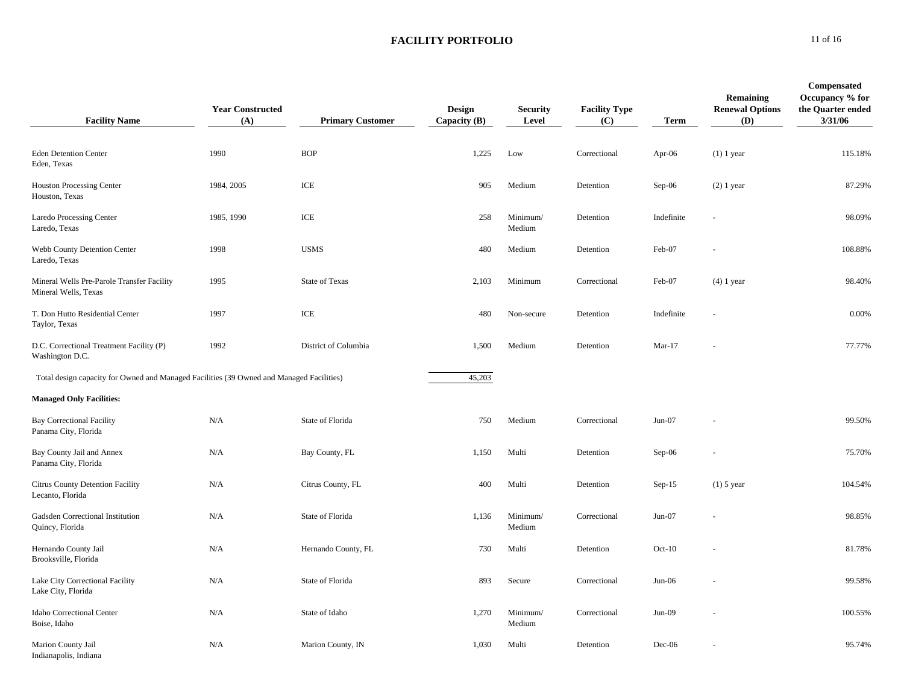| <b>Facility Name</b>                                                                     | <b>Year Constructed</b><br>(A) | <b>Primary Customer</b> | <b>Design</b><br>Capacity $(B)$ | <b>Security</b><br>Level | <b>Facility Type</b><br>(C) | <b>Term</b> | Remaining<br><b>Renewal Options</b><br>(D) | Compensated<br>Occupancy % for<br>the Quarter ended<br>3/31/06 |
|------------------------------------------------------------------------------------------|--------------------------------|-------------------------|---------------------------------|--------------------------|-----------------------------|-------------|--------------------------------------------|----------------------------------------------------------------|
| <b>Eden Detention Center</b><br>Eden, Texas                                              | 1990                           | <b>BOP</b>              | 1,225                           | Low                      | Correctional                | Apr- $06$   | $(1)$ 1 year                               | 115.18%                                                        |
| <b>Houston Processing Center</b><br>Houston, Texas                                       | 1984, 2005                     | ICE                     | 905                             | Medium                   | Detention                   | Sep-06      | $(2)$ 1 year                               | 87.29%                                                         |
| Laredo Processing Center<br>Laredo, Texas                                                | 1985, 1990                     | ICE                     | 258                             | Minimum/<br>Medium       | Detention                   | Indefinite  |                                            | 98.09%                                                         |
| Webb County Detention Center<br>Laredo, Texas                                            | 1998                           | <b>USMS</b>             | 480                             | Medium                   | Detention                   | Feb-07      |                                            | 108.88%                                                        |
| Mineral Wells Pre-Parole Transfer Facility<br>Mineral Wells, Texas                       | 1995                           | <b>State of Texas</b>   | 2,103                           | Minimum                  | Correctional                | Feb-07      | $(4)$ 1 year                               | 98.40%                                                         |
| T. Don Hutto Residential Center<br>Taylor, Texas                                         | 1997                           | ICE                     | 480                             | Non-secure               | Detention                   | Indefinite  |                                            | 0.00%                                                          |
| D.C. Correctional Treatment Facility (P)<br>Washington D.C.                              | 1992                           | District of Columbia    | 1,500                           | Medium                   | Detention                   | $Mar-17$    |                                            | 77.77%                                                         |
| Total design capacity for Owned and Managed Facilities (39 Owned and Managed Facilities) |                                |                         | 45,203                          |                          |                             |             |                                            |                                                                |
| <b>Managed Only Facilities:</b>                                                          |                                |                         |                                 |                          |                             |             |                                            |                                                                |
| <b>Bay Correctional Facility</b><br>Panama City, Florida                                 | N/A                            | State of Florida        | 750                             | Medium                   | Correctional                | $Jun-07$    |                                            | 99.50%                                                         |
| Bay County Jail and Annex<br>Panama City, Florida                                        | N/A                            | Bay County, FL          | 1,150                           | Multi                    | Detention                   | Sep-06      |                                            | 75.70%                                                         |
| <b>Citrus County Detention Facility</b><br>Lecanto, Florida                              | N/A                            | Citrus County, FL       | 400                             | Multi                    | Detention                   | $Sep-15$    | $(1)$ 5 year                               | 104.54%                                                        |
| Gadsden Correctional Institution<br>Quincy, Florida                                      | N/A                            | State of Florida        | 1,136                           | Minimum/<br>Medium       | Correctional                | $Jun-07$    |                                            | 98.85%                                                         |
| Hernando County Jail<br>Brooksville, Florida                                             | N/A                            | Hernando County, FL     | 730                             | Multi                    | Detention                   | $Oct-10$    |                                            | 81.78%                                                         |
| Lake City Correctional Facility<br>Lake City, Florida                                    | N/A                            | State of Florida        | 893                             | Secure                   | Correctional                | $Jun-06$    |                                            | 99.58%                                                         |
| Idaho Correctional Center<br>Boise, Idaho                                                | N/A                            | State of Idaho          | 1,270                           | Minimum/<br>Medium       | Correctional                | $Jun-09$    |                                            | 100.55%                                                        |
| Marion County Jail<br>Indianapolis, Indiana                                              | N/A                            | Marion County, IN       | 1,030                           | Multi                    | Detention                   | Dec-06      |                                            | 95.74%                                                         |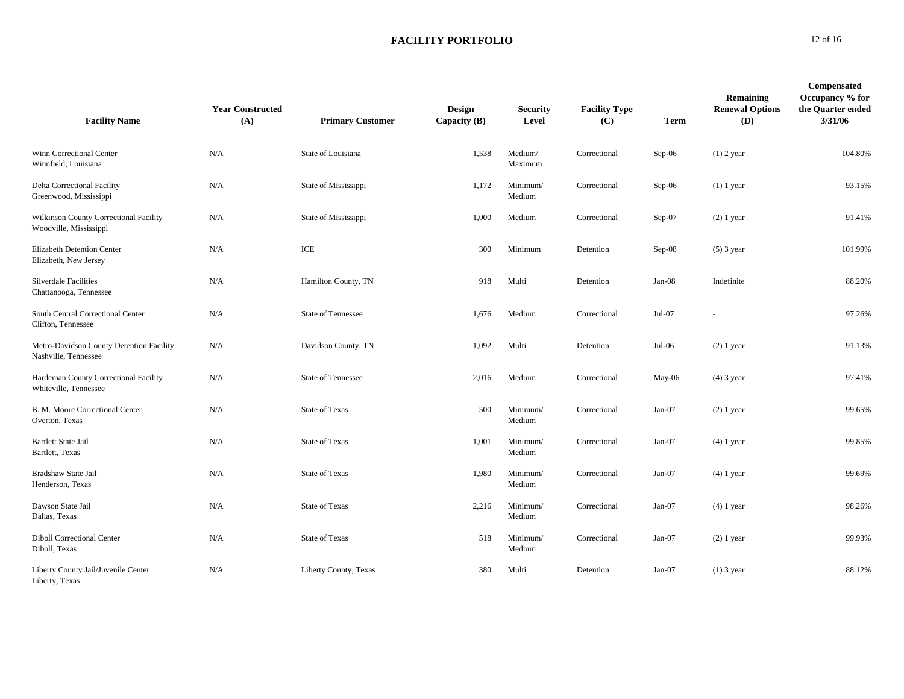| <b>Facility Name</b>                                             | <b>Year Constructed</b><br>(A) | <b>Primary Customer</b> | <b>Design</b><br>Capacity (B) | <b>Security</b><br>Level | <b>Facility Type</b><br>(C) | <b>Term</b> | Remaining<br><b>Renewal Options</b><br>(D) | Compensated<br>Occupancy % for<br>the Quarter ended<br>3/31/06 |
|------------------------------------------------------------------|--------------------------------|-------------------------|-------------------------------|--------------------------|-----------------------------|-------------|--------------------------------------------|----------------------------------------------------------------|
| Winn Correctional Center<br>Winnfield, Louisiana                 | N/A                            | State of Louisiana      | 1,538                         | Medium/<br>Maximum       | Correctional                | $Sep-06$    | $(1)$ 2 year                               | 104.80%                                                        |
| Delta Correctional Facility<br>Greenwood, Mississippi            | N/A                            | State of Mississippi    | 1,172                         | Minimum/<br>Medium       | Correctional                | $Sep-06$    | $(1)$ 1 year                               | 93.15%                                                         |
| Wilkinson County Correctional Facility<br>Woodville, Mississippi | N/A                            | State of Mississippi    | 1,000                         | Medium                   | Correctional                | Sep-07      | $(2)$ 1 year                               | 91.41%                                                         |
| <b>Elizabeth Detention Center</b><br>Elizabeth, New Jersey       | N/A                            | ICE                     | 300                           | Minimum                  | Detention                   | $Sep-08$    | $(5)$ 3 year                               | 101.99%                                                        |
| <b>Silverdale Facilities</b><br>Chattanooga, Tennessee           | N/A                            | Hamilton County, TN     | 918                           | Multi                    | Detention                   | Jan-08      | Indefinite                                 | 88.20%                                                         |
| South Central Correctional Center<br>Clifton, Tennessee          | N/A                            | State of Tennessee      | 1,676                         | Medium                   | Correctional                | Jul-07      |                                            | 97.26%                                                         |
| Metro-Davidson County Detention Facility<br>Nashville, Tennessee | N/A                            | Davidson County, TN     | 1,092                         | Multi                    | Detention                   | Jul-06      | $(2)$ 1 year                               | 91.13%                                                         |
| Hardeman County Correctional Facility<br>Whiteville, Tennessee   | N/A                            | State of Tennessee      | 2,016                         | Medium                   | Correctional                | May-06      | $(4)$ 3 year                               | 97.41%                                                         |
| B. M. Moore Correctional Center<br>Overton, Texas                | N/A                            | <b>State of Texas</b>   | 500                           | Minimum/<br>Medium       | Correctional                | Jan-07      | $(2)$ 1 year                               | 99.65%                                                         |
| <b>Bartlett State Jail</b><br>Bartlett, Texas                    | N/A                            | <b>State of Texas</b>   | 1,001                         | Minimum/<br>Medium       | Correctional                | $Jan-07$    | $(4)$ 1 year                               | 99.85%                                                         |
| Bradshaw State Jail<br>Henderson, Texas                          | N/A                            | <b>State of Texas</b>   | 1,980                         | Minimum/<br>Medium       | Correctional                | Jan-07      | $(4)$ 1 year                               | 99.69%                                                         |
| Dawson State Jail<br>Dallas, Texas                               | N/A                            | <b>State of Texas</b>   | 2,216                         | Minimum/<br>Medium       | Correctional                | $Jan-07$    | $(4)$ 1 year                               | 98.26%                                                         |
| <b>Diboll Correctional Center</b><br>Diboll, Texas               | N/A                            | <b>State of Texas</b>   | 518                           | Minimum/<br>Medium       | Correctional                | Jan-07      | $(2)$ 1 year                               | 99.93%                                                         |
| Liberty County Jail/Juvenile Center<br>Liberty, Texas            | N/A                            | Liberty County, Texas   | 380                           | Multi                    | Detention                   | $Jan-07$    | $(1)$ 3 year                               | 88.12%                                                         |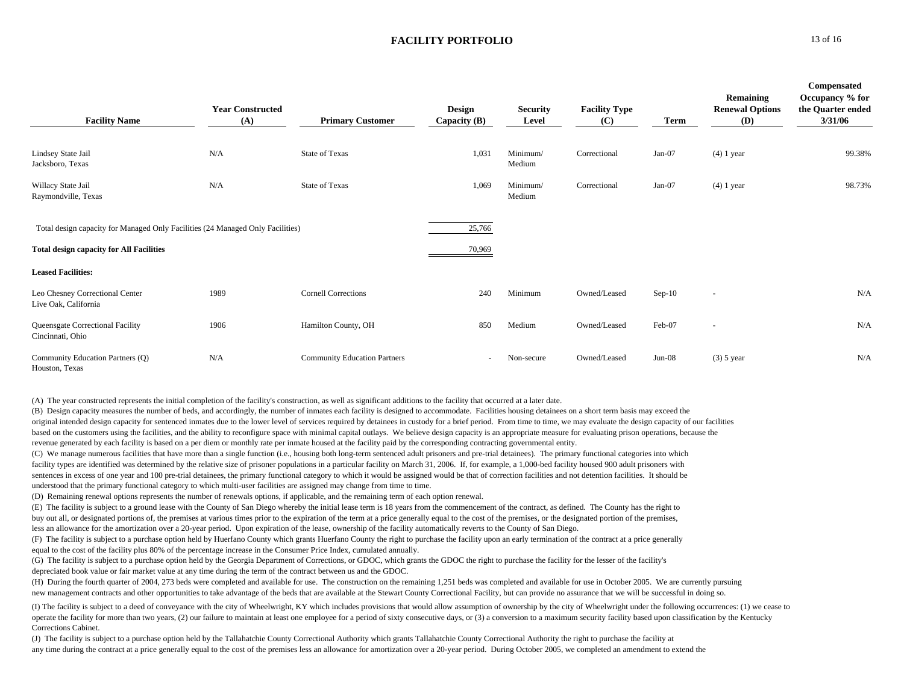|                                                                                | <b>Year Constructed</b> |                                     | <b>Design</b>  | <b>Security</b>    | <b>Facility Type</b> |          | Remaining<br><b>Renewal Options</b> | Compensated<br>Occupancy % for<br>the Quarter ended |
|--------------------------------------------------------------------------------|-------------------------|-------------------------------------|----------------|--------------------|----------------------|----------|-------------------------------------|-----------------------------------------------------|
| <b>Facility Name</b>                                                           | (A)                     | <b>Primary Customer</b>             | Capacity $(B)$ | Level              | (C)                  | Term     | <b>(D)</b>                          | 3/31/06                                             |
| Lindsey State Jail<br>Jacksboro, Texas                                         | N/A                     | <b>State of Texas</b>               | 1,031          | Minimum/<br>Medium | Correctional         | $Jan-07$ | $(4)$ 1 year                        | 99.38%                                              |
| Willacy State Jail<br>Raymondville, Texas                                      | N/A                     | State of Texas                      | 1,069          | Minimum/<br>Medium | Correctional         | Jan-07   | $(4)$ 1 year                        | 98.73%                                              |
| Total design capacity for Managed Only Facilities (24 Managed Only Facilities) |                         |                                     | 25,766         |                    |                      |          |                                     |                                                     |
| <b>Total design capacity for All Facilities</b>                                |                         |                                     | 70,969         |                    |                      |          |                                     |                                                     |
| <b>Leased Facilities:</b>                                                      |                         |                                     |                |                    |                      |          |                                     |                                                     |
| Leo Chesney Correctional Center<br>Live Oak, California                        | 1989                    | <b>Cornell Corrections</b>          | 240            | Minimum            | Owned/Leased         | $Sep-10$ | $\sim$                              | N/A                                                 |
| Queensgate Correctional Facility<br>Cincinnati, Ohio                           | 1906                    | Hamilton County, OH                 | 850            | Medium             | Owned/Leased         | Feb-07   | $\sim$                              | N/A                                                 |
| Community Education Partners (Q)<br>Houston, Texas                             | N/A                     | <b>Community Education Partners</b> | $\sim$         | Non-secure         | Owned/Leased         | $Jun-08$ | $(3)$ 5 year                        | N/A                                                 |

(A) The year constructed represents the initial completion of the facility's construction, as well as significant additions to the facility that occurred at a later date.

(B) Design capacity measures the number of beds, and accordingly, the number of inmates each facility is designed to accommodate. Facilities housing detainees on a short term basis may exceed the original intended design capacity for sentenced inmates due to the lower level of services required by detainees in custody for a brief period. From time to time, we may evaluate the design capacity of our facilities based on the customers using the facilities, and the ability to reconfigure space with minimal capital outlays. We believe design capacity is an appropriate measure for evaluating prison operations, because the revenue generated by each facility is based on a per diem or monthly rate per inmate housed at the facility paid by the corresponding contracting governmental entity.

(C) We manage numerous facilities that have more than a single function (i.e., housing both long-term sentenced adult prisoners and pre-trial detainees). The primary functional categories into which facility types are identified was determined by the relative size of prisoner populations in a particular facility on March 31, 2006. If, for example, a 1,000-bed facility housed 900 adult prisoners with sentences in excess of one year and 100 pre-trial detainees, the primary functional category to which it would be assigned would be that of correction facilities and not detention facilities. It should be understood that the primary functional category to which multi-user facilities are assigned may change from time to time.

(D) Remaining renewal options represents the number of renewals options, if applicable, and the remaining term of each option renewal.

(E) The facility is subject to a ground lease with the County of San Diego whereby the initial lease term is 18 years from the commencement of the contract, as defined. The County has the right to buy out all, or designated portions of, the premises at various times prior to the expiration of the term at a price generally equal to the cost of the premises, or the designated portion of the premises,

less an allowance for the amortization over a 20-year period. Upon expiration of the lease, ownership of the facility automatically reverts to the County of San Diego.

(F) The facility is subject to a purchase option held by Huerfano County which grants Huerfano County the right to purchase the facility upon an early termination of the contract at a price generally equal to the cost of the facility plus 80% of the percentage increase in the Consumer Price Index, cumulated annually.

(G) The facility is subject to a purchase option held by the Georgia Department of Corrections, or GDOC, which grants the GDOC the right to purchase the facility for the lesser of the facility's depreciated book value or fair market value at any time during the term of the contract between us and the GDOC.

(H) During the fourth quarter of 2004, 273 beds were completed and available for use. The construction on the remaining 1,251 beds was completed and available for use in October 2005. We are currently pursuing new management contracts and other opportunities to take advantage of the beds that are available at the Stewart County Correctional Facility, but can provide no assurance that we will be successful in doing so.

(I) The facility is subject to a deed of conveyance with the city of Wheelwright, KY which includes provisions that would allow assumption of ownership by the city of Wheelwright under the following occurrences: (1) we cea operate the facility for more than two years, (2) our failure to maintain at least one employee for a period of sixty consecutive days, or (3) a conversion to a maximum security facility based upon classification by the Ke Corrections Cabinet.

(J) The facility is subject to a purchase option held by the Tallahatchie County Correctional Authority which grants Tallahatchie County Correctional Authority the right to purchase the facility at any time during the contract at a price generally equal to the cost of the premises less an allowance for amortization over a 20-year period. During October 2005, we completed an amendment to extend the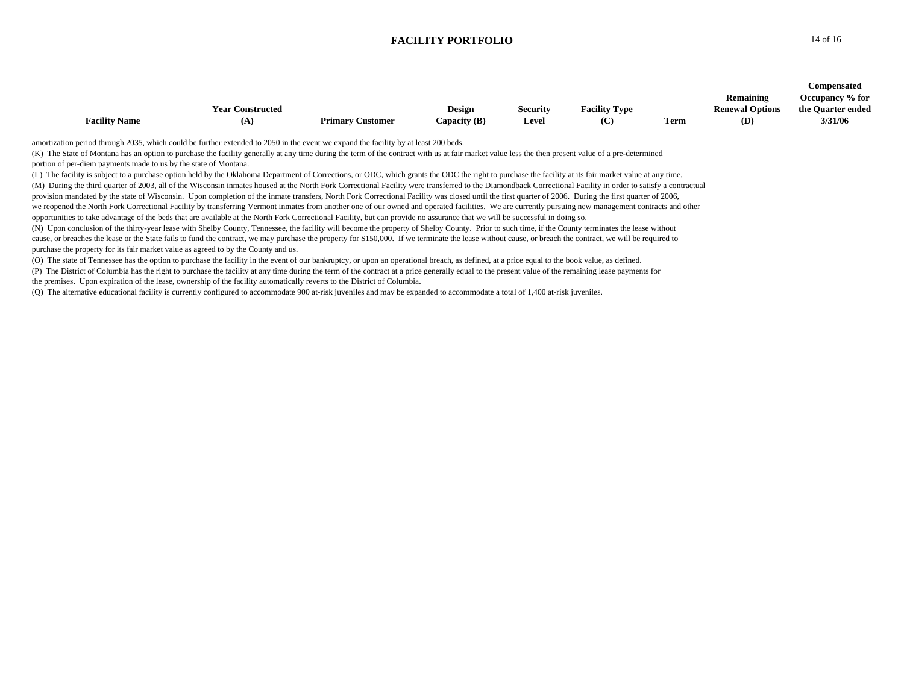|                      |                         |                         |                |          |                      |      |                        | Compensated       |
|----------------------|-------------------------|-------------------------|----------------|----------|----------------------|------|------------------------|-------------------|
|                      |                         |                         |                |          |                      |      | Remaining              | Occupancy % for   |
|                      | <b>Year Constructed</b> |                         | <b>Design</b>  | Security | <b>Facility Type</b> |      | <b>Renewal Options</b> | the Quarter ended |
| <b>Facility Name</b> |                         | <b>Primary Customer</b> | Capacity $(B)$ | Level    | (C                   | Term | <b>(D)</b>             | 3/31/06           |

amortization period through 2035, which could be further extended to 2050 in the event we expand the facility by at least 200 beds.

(K) The State of Montana has an option to purchase the facility generally at any time during the term of the contract with us at fair market value less the then present value of a pre-determined portion of per-diem payments made to us by the state of Montana.

(L) The facility is subject to a purchase option held by the Oklahoma Department of Corrections, or ODC, which grants the ODC the right to purchase the facility at its fair market value at any time. (M) During the third quarter of 2003, all of the Wisconsin inmates housed at the North Fork Correctional Facility were transferred to the Diamondback Correctional Facility in order to satisfy a contractual provision mandated by the state of Wisconsin. Upon completion of the inmate transfers, North Fork Correctional Facility was closed until the first quarter of 2006. During the first quarter of 2006. we reopened the North Fork Correctional Facility by transferring Vermont inmates from another one of our owned and operated facilities. We are currently pursuing new management contracts and other opportunities to take advantage of the beds that are available at the North Fork Correctional Facility, but can provide no assurance that we will be successful in doing so.

(N) Upon conclusion of the thirty-year lease with Shelby County, Tennessee, the facility will become the property of Shelby County. Prior to such time, if the County terminates the lease without cause, or breaches the lease or the State fails to fund the contract, we may purchase the property for \$150,000. If we terminate the lease without cause, or breach the contract, we will be required to purchase the property for its fair market value as agreed to by the County and us.

(O) The state of Tennessee has the option to purchase the facility in the event of our bankruptcy, or upon an operational breach, as defined, at a price equal to the book value, as defined.

(P) The District of Columbia has the right to purchase the facility at any time during the term of the contract at a price generally equal to the present value of the remaining lease payments for the premises. Upon expiration of the lease, ownership of the facility automatically reverts to the District of Columbia.

(Q) The alternative educational facility is currently configured to accommodate 900 at-risk juveniles and may be expanded to accommodate a total of 1,400 at-risk juveniles.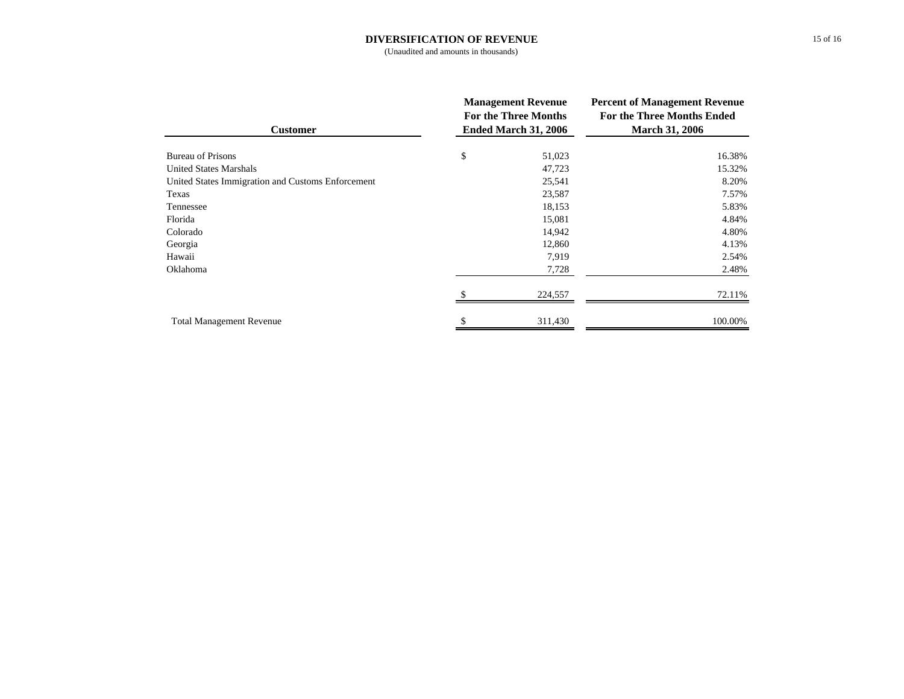#### **DIVERSIFICATION OF REVENUE**

(Unaudited and amounts in thousands)

| <b>Customer</b>                                   | <b>Management Revenue</b><br><b>For the Three Months</b><br>Ended March 31, 2006 | <b>Percent of Management Revenue</b><br><b>For the Three Months Ended</b><br><b>March 31, 2006</b> |  |  |
|---------------------------------------------------|----------------------------------------------------------------------------------|----------------------------------------------------------------------------------------------------|--|--|
| Bureau of Prisons                                 | \$<br>51,023                                                                     | 16.38%                                                                                             |  |  |
| <b>United States Marshals</b>                     | 47,723                                                                           | 15.32%                                                                                             |  |  |
| United States Immigration and Customs Enforcement | 25,541                                                                           | 8.20%                                                                                              |  |  |
| Texas                                             | 23,587                                                                           | 7.57%                                                                                              |  |  |
| Tennessee                                         | 18,153                                                                           | 5.83%                                                                                              |  |  |
| Florida                                           | 15,081                                                                           | 4.84%                                                                                              |  |  |
| Colorado                                          | 14,942                                                                           | 4.80%                                                                                              |  |  |
| Georgia                                           | 12,860                                                                           | 4.13%                                                                                              |  |  |
| Hawaii                                            | 7,919                                                                            | 2.54%                                                                                              |  |  |
| Oklahoma                                          | 7,728                                                                            | 2.48%                                                                                              |  |  |
|                                                   | 224,557                                                                          | 72.11%                                                                                             |  |  |
| <b>Total Management Revenue</b>                   | 311,430                                                                          | 100.00%                                                                                            |  |  |